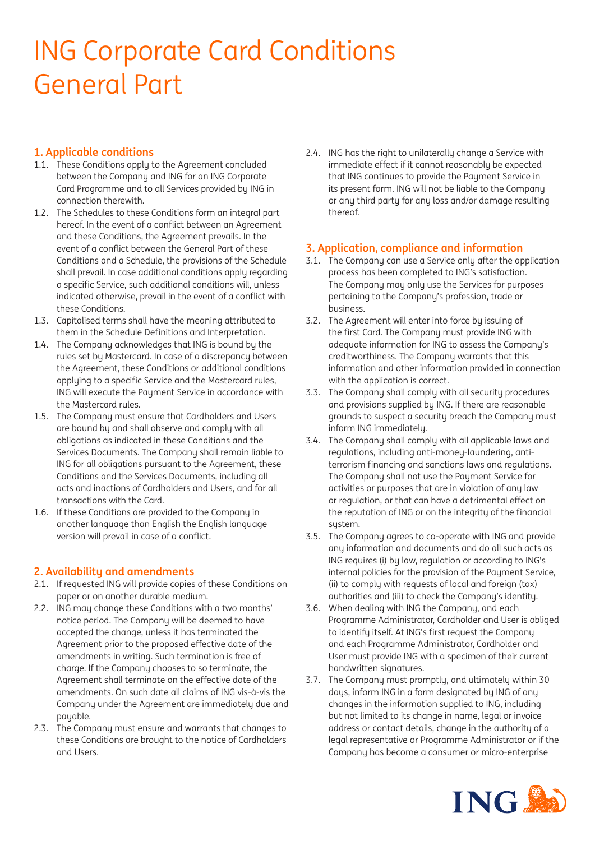# ING Corporate Card Conditions General Part

# **1. Applicable conditions**

- 1.1. These Conditions apply to the Agreement concluded between the Company and ING for an ING Corporate Card Programme and to all Services provided by ING in connection therewith.
- 1.2. The Schedules to these Conditions form an integral part hereof. In the event of a conflict between an Agreement and these Conditions, the Agreement prevails. In the event of a conflict between the General Part of these Conditions and a Schedule, the provisions of the Schedule shall prevail. In case additional conditions apply regarding a specific Service, such additional conditions will, unless indicated otherwise, prevail in the event of a conflict with these Conditions.
- 1.3. Capitalised terms shall have the meaning attributed to them in the Schedule Definitions and Interpretation.
- 1.4. The Company acknowledges that ING is bound by the rules set by Mastercard. In case of a discrepancy between the Agreement, these Conditions or additional conditions appluing to a specific Service and the Mastercard rules. ING will execute the Paument Service in accordance with the Mastercard rules.
- 1.5. The Company must ensure that Cardholders and Users are bound by and shall observe and comply with all obligations as indicated in these Conditions and the Services Documents. The Company shall remain liable to ING for all obligations pursuant to the Agreement, these Conditions and the Services Documents, including all acts and inactions of Cardholders and Users, and for all transactions with the Card.
- 1.6. If these Conditions are provided to the Company in another language than English the English language version will prevail in case of a conflict.

# **2. Availability and amendments**

- 2.1. If requested ING will provide copies of these Conditions on paper or on another durable medium.
- 2.2. ING may change these Conditions with a two months' notice period. The Company will be deemed to have accepted the change, unless it has terminated the Agreement prior to the proposed effective date of the amendments in writing. Such termination is free of charge. If the Company chooses to so terminate, the Agreement shall terminate on the effective date of the amendments. On such date all claims of ING vis-à-vis the Company under the Agreement are immediately due and payable.
- 2.3. The Company must ensure and warrants that changes to these Conditions are brought to the notice of Cardholders and Users.

2.4. ING has the right to unilaterally change a Service with immediate effect if it cannot reasonably be expected that ING continues to provide the Payment Service in its present form. ING will not be liable to the Company or any third party for any loss and/or damage resulting thereof.

# **3. Application, compliance and information**

- 3.1. The Company can use a Service only after the application process has been completed to ING's satisfaction. The Company may only use the Services for purposes pertaining to the Company's profession, trade or business.
- 3.2. The Agreement will enter into force by issuing of the first Card. The Company must provide ING with adequate information for ING to assess the Company's creditworthiness. The Company warrants that this information and other information provided in connection with the application is correct.
- 3.3. The Company shall comply with all security procedures and provisions supplied by ING. If there are reasonable grounds to suspect a security breach the Company must inform ING immediately.
- 3.4. The Company shall comply with all applicable laws and regulations, including anti-money-laundering, antiterrorism financing and sanctions laws and regulations. The Company shall not use the Payment Service for activities or purposes that are in violation of any law or regulation, or that can have a detrimental effect on the reputation of ING or on the integrity of the financial system.
- 3.5. The Company agrees to co-operate with ING and provide any information and documents and do all such acts as ING requires (i) by law, regulation or according to ING's internal policies for the provision of the Payment Service, (ii) to comply with requests of local and foreign (tax) authorities and (iii) to check the Company's identity.
- 3.6. When dealing with ING the Company, and each Programme Administrator, Cardholder and User is obliged to identify itself. At ING's first request the Company and each Programme Administrator, Cardholder and User must provide ING with a specimen of their current handwritten signatures.
- 3.7. The Company must promptly, and ultimately within 30 days, inform ING in a form designated by ING of any changes in the information supplied to ING, including but not limited to its change in name, legal or invoice address or contact details, change in the authority of a legal representative or Programme Administrator or if the Company has become a consumer or micro-enterprise

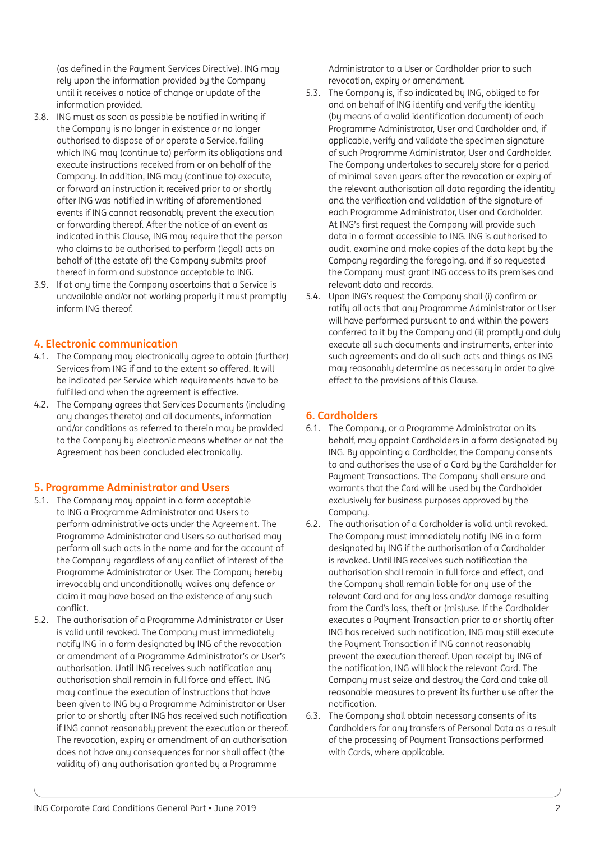(as defined in the Payment Services Directive). ING may rely upon the information provided by the Company until it receives a notice of change or update of the information provided.

- 3.8. ING must as soon as possible be notified in writing if the Company is no longer in existence or no longer authorised to dispose of or operate a Service, failing which ING may (continue to) perform its obligations and execute instructions received from or on behalf of the Company. In addition, ING may (continue to) execute, or forward an instruction it received prior to or shortly after ING was notified in writing of aforementioned events if ING cannot reasonably prevent the execution or forwarding thereof. After the notice of an event as indicated in this Clause, ING may require that the person who claims to be authorised to perform (legal) acts on behalf of (the estate of) the Company submits proof thereof in form and substance acceptable to ING.
- 3.9. If at any time the Company ascertains that a Service is unavailable and/or not working properly it must promptly inform ING thereof.

## **4. Electronic communication**

- 4.1. The Company may electronically agree to obtain (further) Services from ING if and to the extent so offered. It will be indicated per Service which requirements have to be fulfilled and when the agreement is effective.
- 4.2. The Company agrees that Services Documents (including any changes thereto) and all documents, information and/or conditions as referred to therein may be provided to the Company by electronic means whether or not the Agreement has been concluded electronically.

#### **5. Programme Administrator and Users**

- 5.1. The Company may appoint in a form acceptable to ING a Programme Administrator and Users to perform administrative acts under the Agreement. The Programme Administrator and Users so authorised may perform all such acts in the name and for the account of the Company regardless of any conflict of interest of the Programme Administrator or User. The Company hereby irrevocably and unconditionally waives any defence or claim it may have based on the existence of any such conflict.
- 5.2. The authorisation of a Programme Administrator or User is valid until revoked. The Company must immediately notify ING in a form designated by ING of the revocation or amendment of a Programme Administrator's or User's authorisation. Until ING receives such notification any authorisation shall remain in full force and effect. ING may continue the execution of instructions that have been given to ING by a Programme Administrator or User prior to or shortly after ING has received such notification if ING cannot reasonably prevent the execution or thereof. The revocation, expiry or amendment of an authorisation does not have any consequences for nor shall affect (the validity of) any authorisation granted by a Programme

Administrator to a User or Cardholder prior to such revocation, expiry or amendment.

- 5.3. The Company is, if so indicated by ING, obliged to for and on behalf of ING identify and verify the identity (by means of a valid identification document) of each Programme Administrator, User and Cardholder and, if applicable, verify and validate the specimen signature of such Programme Administrator, User and Cardholder. The Company undertakes to securely store for a period of minimal seven years after the revocation or expiry of the relevant authorisation all data regarding the identity and the verification and validation of the signature of each Programme Administrator, User and Cardholder. At ING's first request the Company will provide such data in a format accessible to ING. ING is authorised to audit, examine and make copies of the data kept by the Company regarding the foregoing, and if so requested the Company must grant ING access to its premises and relevant data and records.
- 5.4. Upon ING's request the Company shall (i) confirm or ratify all acts that any Programme Administrator or User will have performed pursuant to and within the powers conferred to it by the Company and (ii) promptly and duly execute all such documents and instruments, enter into such agreements and do all such acts and things as ING may reasonably determine as necessary in order to give effect to the provisions of this Clause.

## **6. Cardholders**

- 6.1. The Company, or a Programme Administrator on its behalf, may appoint Cardholders in a form designated by ING. By appointing a Cardholder, the Company consents to and authorises the use of a Card by the Cardholder for Paument Transactions. The Company shall ensure and warrants that the Card will be used by the Cardholder exclusively for business purposes approved by the Company.
- 6.2. The authorisation of a Cardholder is valid until revoked. The Company must immediately notify ING in a form designated by ING if the authorisation of a Cardholder is revoked. Until ING receives such notification the authorisation shall remain in full force and effect, and the Company shall remain liable for any use of the relevant Card and for any loss and/or damage resulting from the Card's loss, theft or (mis)use. If the Cardholder executes a Paument Transaction prior to or shortlu after ING has received such notification, ING may still execute the Payment Transaction if ING cannot reasonably prevent the execution thereof. Upon receipt by ING of the notification, ING will block the relevant Card. The Company must seize and destroy the Card and take all reasonable measures to prevent its further use after the notification.
- 6.3. The Company shall obtain necessary consents of its Cardholders for any transfers of Personal Data as a result of the processing of Payment Transactions performed with Cards, where applicable.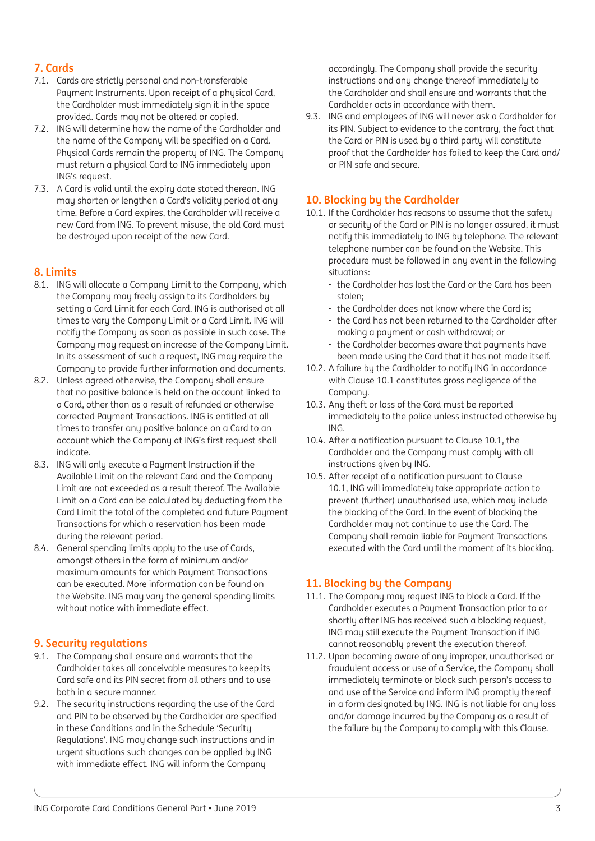# **7. Cards**

- 7.1. Cards are strictly personal and non-transferable Payment Instruments. Upon receipt of a physical Card, the Cardholder must immediately sign it in the space provided. Cards may not be altered or copied.
- 7.2. ING will determine how the name of the Cardholder and the name of the Company will be specified on a Card. Physical Cards remain the property of ING. The Company must return a physical Card to ING immediately upon ING's request.
- 7.3. A Card is valid until the expiry date stated thereon. ING may shorten or lengthen a Card's validity period at any time. Before a Card expires, the Cardholder will receive a new Card from ING. To prevent misuse, the old Card must be destroued upon receipt of the new Card.

# **8. Limits**

- 8.1. ING will allocate a Company Limit to the Company, which the Company may freely assign to its Cardholders by setting a Card Limit for each Card. ING is authorised at all times to vary the Company Limit or a Card Limit. ING will notify the Company as soon as possible in such case. The Company may request an increase of the Company Limit. In its assessment of such a request. ING may require the Company to provide further information and documents.
- 8.2. Unless agreed otherwise, the Company shall ensure that no positive balance is held on the account linked to a Card, other than as a result of refunded or otherwise corrected Paument Transactions. ING is entitled at all times to transfer any positive balance on a Card to an account which the Company at ING's first request shall indicate.
- 8.3. ING will only execute a Payment Instruction if the Available Limit on the relevant Card and the Company Limit are not exceeded as a result thereof. The Available Limit on a Card can be calculated by deducting from the Card Limit the total of the completed and future Paument Transactions for which a reservation has been made during the relevant period.
- 8.4. General spending limits apply to the use of Cards, amongst others in the form of minimum and/or maximum amounts for which Paument Transactions can be executed. More information can be found on the Website. ING may vary the general spending limits without notice with immediate effect.

## **9. Security regulations**

- 9.1. The Company shall ensure and warrants that the Cardholder takes all conceivable measures to keep its Card safe and its PIN secret from all others and to use both in a secure manner.
- 9.2. The security instructions regarding the use of the Card and PIN to be observed by the Cardholder are specified in these Conditions and in the Schedule 'Security Regulations'. ING may change such instructions and in urgent situations such changes can be applied by ING with immediate effect. ING will inform the Company

accordingly. The Company shall provide the security instructions and any change thereof immediately to the Cardholder and shall ensure and warrants that the Cardholder acts in accordance with them.

9.3. ING and employees of ING will never ask a Cardholder for its PIN. Subject to evidence to the contrary, the fact that the Card or PIN is used by a third party will constitute proof that the Cardholder has failed to keep the Card and/ or PIN safe and secure.

## **10. Blocking by the Cardholder**

- 10.1. If the Cardholder has reasons to assume that the safety or security of the Card or PIN is no longer assured, it must notifu this immediately to ING by telephone. The relevant telephone number can be found on the Website. This procedure must be followed in any event in the following situations:
	- the Cardholder has lost the Card or the Card has been stolen;
	- the Cardholder does not know where the Card is;
	- the Card has not been returned to the Cardholder after making a payment or cash withdrawal; or
	- the Cardholder becomes aware that payments have been made using the Card that it has not made itself.
- 10.2. A failure by the Cardholder to notify ING in accordance with Clause 10.1 constitutes gross negligence of the Company.
- 10.3. Any theft or loss of the Card must be reported immediately to the police unless instructed otherwise by ING.
- 10.4. After a notification pursuant to Clause 10.1, the Cardholder and the Company must comply with all instructions given by ING.
- 10.5. After receipt of a notification pursuant to Clause 10.1, ING will immediately take appropriate action to prevent (further) unauthorised use, which may include the blocking of the Card. In the event of blocking the Cardholder may not continue to use the Card. The Company shall remain liable for Payment Transactions executed with the Card until the moment of its blocking.

## **11. Blocking by the Company**

- 11.1. The Company may request ING to block a Card. If the Cardholder executes a Payment Transaction prior to or shortly after ING has received such a blocking request, ING may still execute the Payment Transaction if ING cannot reasonably prevent the execution thereof.
- 11.2. Upon becoming aware of any improper, unauthorised or fraudulent access or use of a Service, the Company shall immediately terminate or block such person's access to and use of the Service and inform ING promptly thereof in a form designated by ING. ING is not liable for any loss and/or damage incurred by the Company as a result of the failure by the Company to comply with this Clause.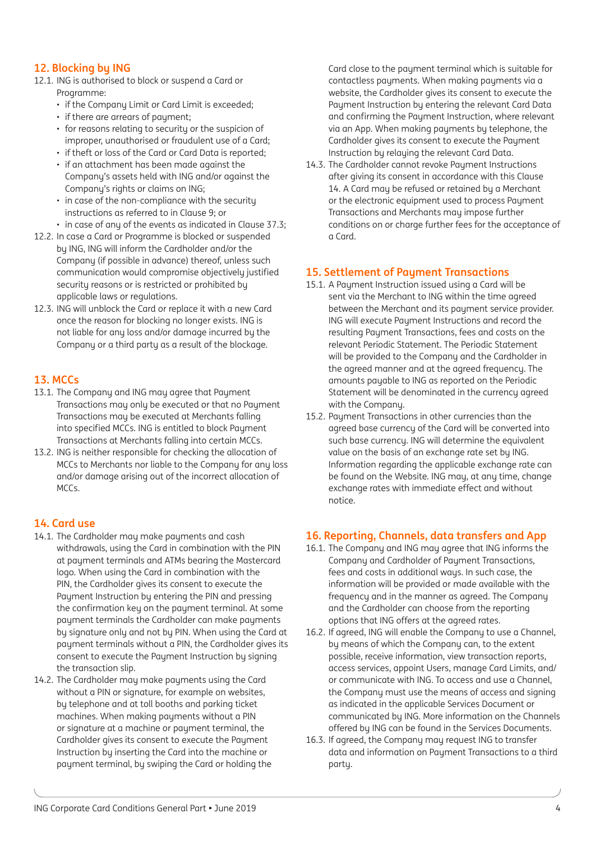## **12. Blocking by ING**

- 12.1. ING is authorised to block or suspend a Card or Programme:
	- if the Company Limit or Card Limit is exceeded;
	- if there are arrears of payment;
	- for reasons relating to security or the suspicion of
	- improper, unauthorised or fraudulent use of a Card; • if theft or loss of the Card or Card Data is reported;
	- if an attachment has been made against the Company's assets held with ING and/or against the Company's rights or claims on ING;
	- in case of the non-compliance with the security instructions as referred to in Clause 9; or
- in case of any of the events as indicated in Clause 37.3;
- 12.2. In case a Card or Programme is blocked or suspended by ING, ING will inform the Cardholder and/or the Company (if possible in advance) thereof, unless such communication would compromise objectively justified security reasons or is restricted or prohibited by applicable laws or regulations.
- 12.3. ING will unblock the Card or replace it with a new Card once the reason for blocking no longer exists. ING is not liable for any loss and/or damage incurred by the Company or a third party as a result of the blockage.

# **13. MCCs**

- 13.1. The Company and ING may agree that Payment Transactions may only be executed or that no Payment Transactions may be executed at Merchants falling into specified MCCs. ING is entitled to block Payment Transactions at Merchants falling into certain MCCs.
- 13.2. ING is neither responsible for checking the allocation of MCCs to Merchants nor liable to the Company for any loss and/or damage arising out of the incorrect allocation of MCCs.

## **14. Card use**

- 14.1. The Cardholder may make payments and cash withdrawals, using the Card in combination with the PIN at payment terminals and ATMs bearing the Mastercard logo. When using the Card in combination with the PIN, the Cardholder gives its consent to execute the Payment Instruction by entering the PIN and pressing the confirmation key on the payment terminal. At some payment terminals the Cardholder can make payments by signature only and not by PIN. When using the Card at payment terminals without a PIN, the Cardholder gives its consent to execute the Payment Instruction by signing the transaction slip.
- 14.2. The Cardholder may make payments using the Card without a PIN or signature, for example on websites, by telephone and at toll booths and parking ticket machines. When making payments without a PIN or signature at a machine or payment terminal, the Cardholder gives its consent to execute the Payment Instruction by inserting the Card into the machine or payment terminal, by swiping the Card or holding the

Card close to the payment terminal which is suitable for contactless payments. When making payments via a website, the Cardholder gives its consent to execute the Payment Instruction by entering the relevant Card Data and confirming the Payment Instruction, where relevant via an App. When making payments by telephone, the Cardholder gives its consent to execute the Payment Instruction by relaying the relevant Card Data.

14.3. The Cardholder cannot revoke Payment Instructions after giving its consent in accordance with this Clause 14. A Card may be refused or retained by a Merchant or the electronic equipment used to process Payment Transactions and Merchants may impose further conditions on or charge further fees for the acceptance of a Card.

# **15. Settlement of Payment Transactions**

- 15.1. A Payment Instruction issued using a Card will be sent via the Merchant to ING within the time agreed between the Merchant and its payment service provider. ING will execute Payment Instructions and record the resulting Payment Transactions, fees and costs on the relevant Periodic Statement. The Periodic Statement will be provided to the Company and the Cardholder in the agreed manner and at the agreed frequency. The amounts payable to ING as reported on the Periodic Statement will be denominated in the currency agreed with the Company.
- 15.2. Payment Transactions in other currencies than the agreed base currency of the Card will be converted into such base currency. ING will determine the equivalent value on the basis of an exchange rate set by ING. Information regarding the applicable exchange rate can be found on the Website. ING may, at any time, change exchange rates with immediate effect and without notice.

## **16. Reporting, Channels, data transfers and App**

- 16.1. The Company and ING may agree that ING informs the Company and Cardholder of Payment Transactions, fees and costs in additional ways. In such case, the information will be provided or made available with the frequency and in the manner as agreed. The Company and the Cardholder can choose from the reporting options that ING offers at the agreed rates.
- 16.2. If agreed, ING will enable the Company to use a Channel, by means of which the Company can, to the extent possible, receive information, view transaction reports, access services, appoint Users, manage Card Limits, and/ or communicate with ING. To access and use a Channel, the Company must use the means of access and signing as indicated in the applicable Services Document or communicated by ING. More information on the Channels offered by ING can be found in the Services Documents.
- 16.3. If agreed, the Company may request ING to transfer data and information on Payment Transactions to a third party.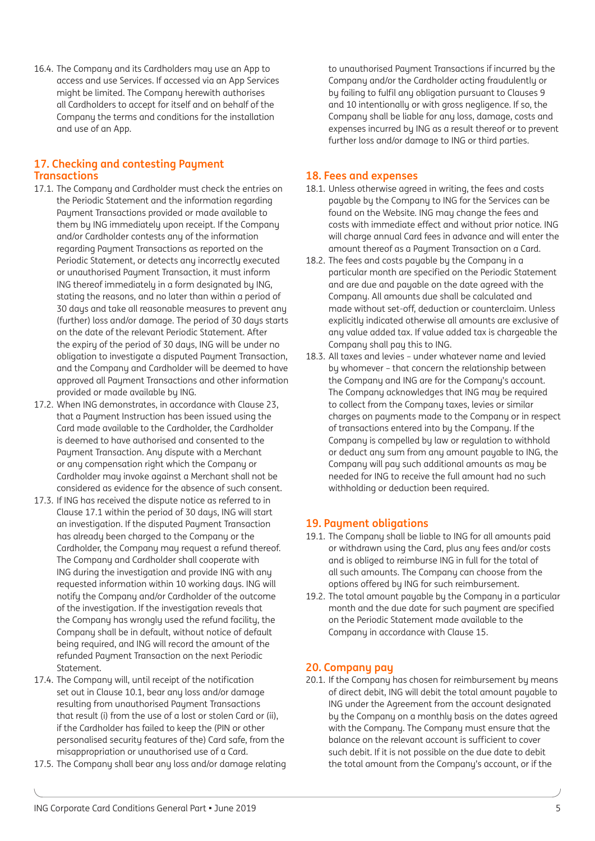16.4. The Company and its Cardholders may use an App to access and use Services. If accessed via an App Services might be limited. The Company herewith authorises all Cardholders to accept for itself and on behalf of the Company the terms and conditions for the installation and use of an App.

## **17. Checking and contesting Payment Transactions**

- 17.1. The Company and Cardholder must check the entries on the Periodic Statement and the information regarding Payment Transactions provided or made available to them by ING immediately upon receipt. If the Company and/or Cardholder contests any of the information regarding Payment Transactions as reported on the Periodic Statement, or detects any incorrectly executed or unauthorised Payment Transaction, it must inform ING thereof immediately in a form designated by ING, stating the reasons, and no later than within a period of 30 days and take all reasonable measures to prevent any (further) loss and/or damage. The period of 30 days starts on the date of the relevant Periodic Statement. After the expiry of the period of 30 days, ING will be under no obligation to investigate a disputed Payment Transaction, and the Company and Cardholder will be deemed to have approved all Paument Transactions and other information provided or made available by ING.
- 17.2. When ING demonstrates, in accordance with Clause 23, that a Payment Instruction has been issued using the Card made available to the Cardholder, the Cardholder is deemed to have authorised and consented to the Payment Transaction. Any dispute with a Merchant or any compensation right which the Company or Cardholder may invoke against a Merchant shall not be considered as evidence for the absence of such consent.
- 17.3. If ING has received the dispute notice as referred to in Clause 17.1 within the period of 30 days, ING will start an investigation. If the disputed Payment Transaction has already been charged to the Company or the Cardholder, the Company may request a refund thereof. The Company and Cardholder shall cooperate with ING during the investigation and provide ING with any requested information within 10 working days. ING will notify the Company and/or Cardholder of the outcome of the investigation. If the investigation reveals that the Company has wrongly used the refund facility, the Company shall be in default, without notice of default being required, and ING will record the amount of the refunded Payment Transaction on the next Periodic Statement.
- 17.4. The Company will, until receipt of the notification set out in Clause 10.1, bear any loss and/or damage resulting from unauthorised Paument Transactions that result (i) from the use of a lost or stolen Card or (ii), if the Cardholder has failed to keep the (PIN or other personalised security features of the) Card safe, from the misappropriation or unauthorised use of a Card.
- 17.5. The Company shall bear any loss and/or damage relating

to unauthorised Payment Transactions if incurred by the Company and/or the Cardholder acting fraudulently or by failing to fulfil any obligation pursuant to Clauses 9 and 10 intentionally or with gross negligence. If so, the Company shall be liable for any loss, damage, costs and expenses incurred by ING as a result thereof or to prevent further loss and/or damage to ING or third parties.

## **18. Fees and expenses**

- 18.1. Unless otherwise agreed in writing, the fees and costs payable by the Company to ING for the Services can be found on the Website. ING may change the fees and costs with immediate effect and without prior notice. ING will charge annual Card fees in advance and will enter the amount thereof as a Payment Transaction on a Card.
- 18.2. The fees and costs pauable bu the Company in a particular month are specified on the Periodic Statement and are due and payable on the date agreed with the Company. All amounts due shall be calculated and made without set-off, deduction or counterclaim. Unless explicitly indicated otherwise all amounts are exclusive of any value added tax. If value added tax is chargeable the Company shall pay this to ING.
- 18.3. All taxes and levies under whatever name and levied by whomever – that concern the relationship between the Company and ING are for the Company's account. The Company acknowledges that ING may be required to collect from the Company taxes, levies or similar charges on payments made to the Company or in respect of transactions entered into by the Company. If the Company is compelled by law or regulation to withhold or deduct any sum from any amount payable to ING, the Company will pay such additional amounts as may be needed for ING to receive the full amount had no such withholding or deduction been required.

## **19. Payment obligations**

- 19.1. The Company shall be liable to ING for all amounts paid or withdrawn using the Card, plus any fees and/or costs and is obliged to reimburse ING in full for the total of all such amounts. The Company can choose from the options offered by ING for such reimbursement.
- 19.2. The total amount payable by the Company in a particular month and the due date for such payment are specified on the Periodic Statement made available to the Company in accordance with Clause 15.

## **20. Company pay**

20.1. If the Company has chosen for reimbursement by means of direct debit, ING will debit the total amount payable to ING under the Agreement from the account designated by the Company on a monthly basis on the dates agreed with the Company. The Company must ensure that the balance on the relevant account is sufficient to cover such debit. If it is not possible on the due date to debit the total amount from the Company's account, or if the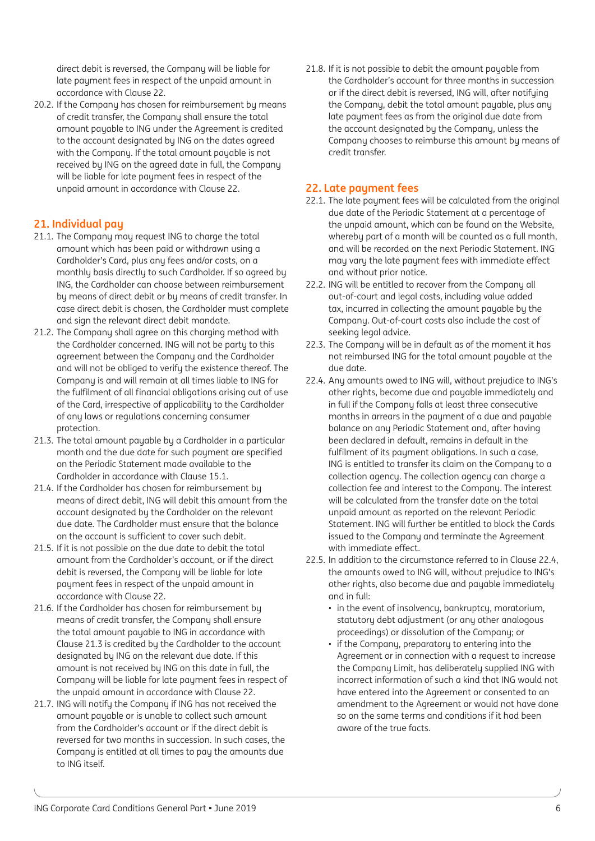direct debit is reversed, the Company will be liable for late payment fees in respect of the unpaid amount in accordance with Clause 22.

20.2. If the Company has chosen for reimbursement by means of credit transfer, the Company shall ensure the total amount payable to ING under the Agreement is credited to the account designated by ING on the dates agreed with the Company. If the total amount payable is not received by ING on the agreed date in full, the Company will be liable for late payment fees in respect of the unpaid amount in accordance with Clause 22.

# **21. Individual pay**

- 21.1. The Company may request ING to charge the total amount which has been paid or withdrawn using a Cardholder's Card, plus any fees and/or costs, on a monthly basis directly to such Cardholder. If so agreed by ING, the Cardholder can choose between reimbursement by means of direct debit or by means of credit transfer. In case direct debit is chosen, the Cardholder must complete and sign the relevant direct debit mandate.
- 21.2. The Company shall agree on this charging method with the Cardholder concerned. ING will not be party to this agreement between the Company and the Cardholder and will not be obliged to verify the existence thereof. The Company is and will remain at all times liable to ING for the fulfilment of all financial obligations arising out of use of the Card, irrespective of applicability to the Cardholder of any laws or regulations concerning consumer protection.
- 21.3. The total amount payable by a Cardholder in a particular month and the due date for such payment are specified on the Periodic Statement made available to the Cardholder in accordance with Clause 15.1.
- 21.4. If the Cardholder has chosen for reimbursement by means of direct debit, ING will debit this amount from the account designated by the Cardholder on the relevant due date. The Cardholder must ensure that the balance on the account is sufficient to cover such debit.
- 21.5. If it is not possible on the due date to debit the total amount from the Cardholder's account, or if the direct debit is reversed, the Company will be liable for late payment fees in respect of the unpaid amount in accordance with Clause 22.
- 21.6. If the Cardholder has chosen for reimbursement by means of credit transfer, the Company shall ensure the total amount payable to ING in accordance with Clause 21.3 is credited by the Cardholder to the account designated by ING on the relevant due date. If this amount is not received by ING on this date in full, the Company will be liable for late payment fees in respect of the unpaid amount in accordance with Clause 22.
- 21.7. ING will notifu the Company if ING has not received the amount payable or is unable to collect such amount from the Cardholder's account or if the direct debit is reversed for two months in succession. In such cases, the Company is entitled at all times to pay the amounts due to ING itself.

21.8. If it is not possible to debit the amount payable from the Cardholder's account for three months in succession or if the direct debit is reversed, ING will, after notifying the Company, debit the total amount payable, plus any late payment fees as from the original due date from the account designated by the Company, unless the Company chooses to reimburse this amount by means of credit transfer.

## **22. Late payment fees**

- 22.1. The late payment fees will be calculated from the original due date of the Periodic Statement at a percentage of the unpaid amount, which can be found on the Website, wherebu part of a month will be counted as a full month, and will be recorded on the next Periodic Statement. ING may vary the late payment fees with immediate effect and without prior notice.
- 22.2. ING will be entitled to recover from the Company all out-of-court and legal costs, including value added tax, incurred in collecting the amount payable by the Company. Out-of-court costs also include the cost of seeking legal advice.
- 22.3. The Company will be in default as of the moment it has not reimbursed ING for the total amount payable at the due date.
- 22.4. Any amounts owed to ING will, without prejudice to ING's other rights, become due and payable immediately and in full if the Company falls at least three consecutive months in arrears in the payment of a due and payable balance on any Periodic Statement and, after having been declared in default, remains in default in the fulfilment of its payment obligations. In such a case, ING is entitled to transfer its claim on the Company to a collection agency. The collection agency can charge a collection fee and interest to the Company. The interest will be calculated from the transfer date on the total unpaid amount as reported on the relevant Periodic Statement. ING will further be entitled to block the Cards issued to the Company and terminate the Agreement with immediate effect.
- 22.5. In addition to the circumstance referred to in Clause 22.4, the amounts owed to ING will, without prejudice to ING's other rights, also become due and payable immediately and in full:
	- in the event of insolvency, bankruptcy, moratorium, statutoru debt adjustment (or any other analogous proceedings) or dissolution of the Company; or
	- if the Company, preparatory to entering into the Agreement or in connection with a request to increase the Company Limit, has deliberately supplied ING with incorrect information of such a kind that ING would not have entered into the Agreement or consented to an amendment to the Agreement or would not have done so on the same terms and conditions if it had been aware of the true facts.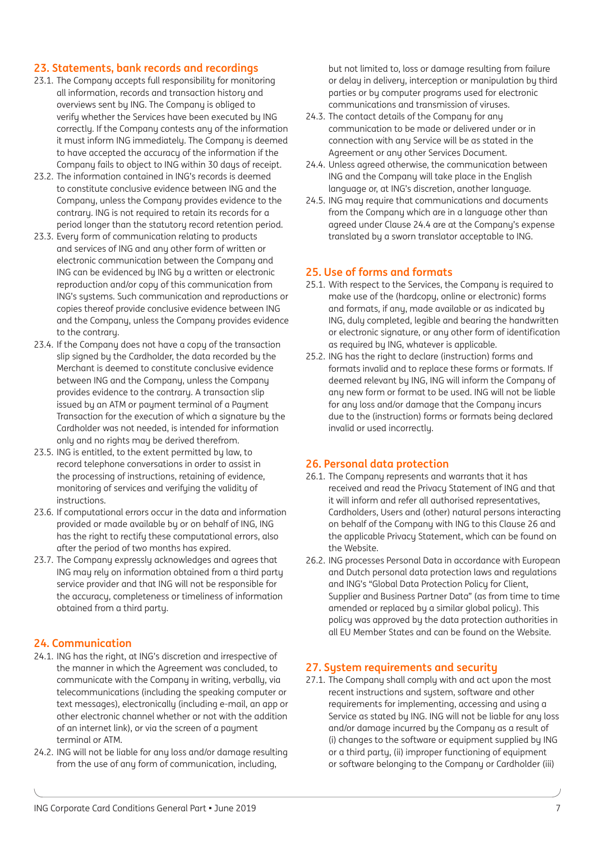## **23. Statements, bank records and recordings**

- 23.1. The Company accepts full responsibility for monitoring all information, records and transaction history and overviews sent by ING. The Company is obliged to verify whether the Services have been executed by ING correctly. If the Company contests any of the information it must inform ING immediately. The Company is deemed to have accepted the accuracy of the information if the Company fails to object to ING within 30 days of receipt.
- 23.2. The information contained in ING's records is deemed to constitute conclusive evidence between ING and the Company, unless the Company provides evidence to the contrary. ING is not required to retain its records for a period longer than the statutory record retention period.
- 23.3. Every form of communication relating to products and services of ING and any other form of written or electronic communication between the Company and ING can be evidenced by ING by a written or electronic reproduction and/or copy of this communication from ING's sustems. Such communication and reproductions or copies thereof provide conclusive evidence between ING and the Company, unless the Company provides evidence to the contraru.
- 23.4. If the Company does not have a copy of the transaction slip signed by the Cardholder, the data recorded by the Merchant is deemed to constitute conclusive evidence between ING and the Company, unless the Company provides evidence to the contrary. A transaction slip issued by an ATM or payment terminal of a Payment Transaction for the execution of which a signature by the Cardholder was not needed, is intended for information only and no rights may be derived therefrom.
- 23.5. ING is entitled, to the extent permitted by law, to record telephone conversations in order to assist in the processing of instructions, retaining of evidence, monitoring of services and verifuing the validity of instructions.
- 23.6. If computational errors occur in the data and information provided or made available by or on behalf of ING, ING has the right to rectify these computational errors, also after the period of two months has expired.
- 23.7. The Company expressly acknowledges and agrees that ING may rely on information obtained from a third party service provider and that ING will not be responsible for the accuracy, completeness or timeliness of information obtained from a third party.

## **24. Communication**

- 24.1. ING has the right, at ING's discretion and irrespective of the manner in which the Agreement was concluded, to communicate with the Company in writing, verbally, via telecommunications (including the speaking computer or text messages), electronically (including e-mail, an app or other electronic channel whether or not with the addition of an internet link), or via the screen of a payment terminal or ATM.
- 24.2. ING will not be liable for any loss and/or damage resulting from the use of any form of communication, including,

but not limited to, loss or damage resulting from failure or delay in delivery, interception or manipulation by third parties or by computer programs used for electronic communications and transmission of viruses.

- 24.3. The contact details of the Company for any communication to be made or delivered under or in connection with any Service will be as stated in the Agreement or any other Services Document.
- 24.4. Unless agreed otherwise, the communication between ING and the Company will take place in the English language or, at ING's discretion, another language.
- 24.5. ING may require that communications and documents from the Company which are in a language other than agreed under Clause 24.4 are at the Company's expense translated by a sworn translator acceptable to ING.

## **25. Use of forms and formats**

- 25.1. With respect to the Services, the Company is required to make use of the (hardcopy, online or electronic) forms and formats, if any, made available or as indicated by ING, duly completed, legible and bearing the handwritten or electronic signature, or any other form of identification as required by ING, whatever is applicable.
- 25.2. ING has the right to declare (instruction) forms and formats invalid and to replace these forms or formats. If deemed relevant by ING, ING will inform the Company of any new form or format to be used. ING will not be liable for any loss and/or damage that the Company incurs due to the (instruction) forms or formats being declared invalid or used incorrectly.

## **26. Personal data protection**

- 26.1. The Company represents and warrants that it has received and read the Privacy Statement of ING and that it will inform and refer all authorised representatives, Cardholders, Users and (other) natural persons interacting on behalf of the Company with ING to this Clause 26 and the applicable Privacy Statement, which can be found on the Website.
- 26.2. ING processes Personal Data in accordance with European and Dutch personal data protection laws and regulations and ING's "Global Data Protection Policy for Client, Supplier and Business Partner Data" (as from time to time amended or replaced by a similar global policy). This policy was approved by the data protection authorities in all EU Member States and can be found on the Website.

## **27. System requirements and security**

27.1. The Company shall comply with and act upon the most recent instructions and system, software and other requirements for implementing, accessing and using a Service as stated by ING. ING will not be liable for any loss and/or damage incurred by the Company as a result of (i) changes to the software or equipment supplied by ING or a third party, (ii) improper functioning of equipment or software belonging to the Company or Cardholder (iii)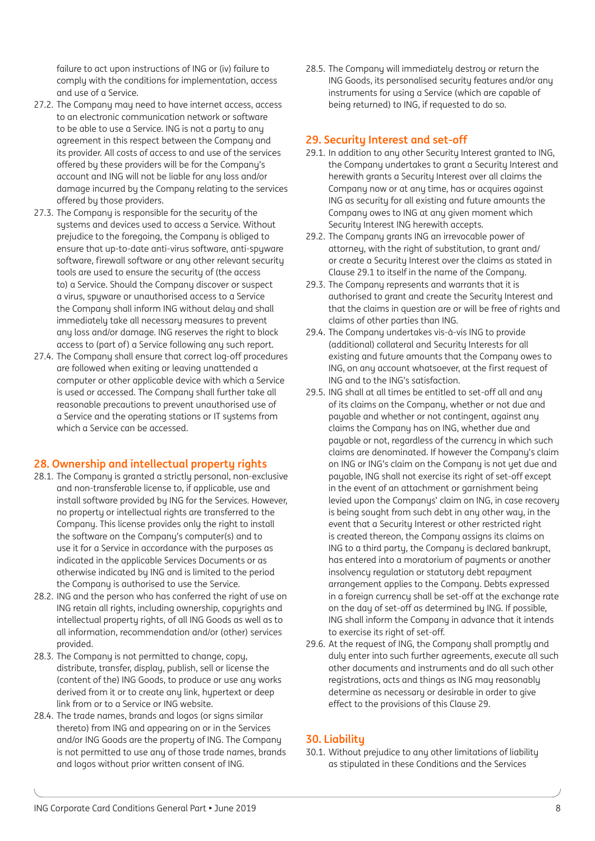failure to act upon instructions of ING or (iv) failure to comply with the conditions for implementation, access and use of a Service.

- 27.2. The Company may need to have internet access, access to an electronic communication network or software to be able to use a Service. ING is not a party to any agreement in this respect between the Company and its provider. All costs of access to and use of the services offered by these providers will be for the Company's account and ING will not be liable for any loss and/or damage incurred by the Company relating to the services offered by those providers.
- 27.3. The Company is responsible for the security of the sustems and devices used to access a Service. Without prejudice to the foregoing, the Company is obliged to ensure that up-to-date anti-virus software, anti-spyware software, firewall software or any other relevant security tools are used to ensure the security of (the access to) a Service. Should the Company discover or suspect a virus, spyware or unauthorised access to a Service the Company shall inform ING without delay and shall immediately take all necessary measures to prevent any loss and/or damage. ING reserves the right to block access to (part of) a Service following any such report.
- 27.4. The Company shall ensure that correct log-off procedures are followed when exiting or leaving unattended a computer or other applicable device with which a Service is used or accessed. The Company shall further take all reasonable precautions to prevent unauthorised use of a Service and the operating stations or IT systems from which a Service can be accessed.

# **28. Ownership and intellectual property rights**

- 28.1. The Company is granted a strictly personal, non-exclusive and non-transferable license to, if applicable, use and install software provided by ING for the Services. However, no property or intellectual rights are transferred to the Company. This license provides only the right to install the software on the Company's computer(s) and to use it for a Service in accordance with the purposes as indicated in the applicable Services Documents or as otherwise indicated by ING and is limited to the period the Company is authorised to use the Service.
- 28.2. ING and the person who has conferred the right of use on ING retain all rights, including ownership, copyrights and intellectual property rights, of all ING Goods as well as to all information, recommendation and/or (other) services provided.
- 28.3. The Company is not permitted to change, copy, distribute, transfer, display, publish, sell or license the (content of the) ING Goods, to produce or use any works derived from it or to create any link, hypertext or deep link from or to a Service or ING website.
- 28.4. The trade names, brands and logos (or signs similar thereto) from ING and appearing on or in the Services and/or ING Goods are the property of ING. The Company is not permitted to use any of those trade names, brands and logos without prior written consent of ING.

28.5. The Company will immediately destroy or return the ING Goods, its personalised security features and/or any instruments for using a Service (which are capable of being returned) to ING, if requested to do so.

## **29. Security Interest and set-off**

- 29.1. In addition to any other Security Interest granted to ING, the Company undertakes to grant a Security Interest and herewith grants a Security Interest over all claims the Company now or at any time, has or acquires against ING as security for all existing and future amounts the Company owes to ING at any given moment which Security Interest ING herewith accepts.
- 29.2. The Company grants ING an irrevocable power of attorney, with the right of substitution, to grant and/ or create a Security Interest over the claims as stated in Clause 29.1 to itself in the name of the Company.
- 29.3. The Company represents and warrants that it is authorised to grant and create the Security Interest and that the claims in question are or will be free of rights and claims of other parties than ING.
- 29.4. The Company undertakes vis-à-vis ING to provide (additional) collateral and Security Interests for all existing and future amounts that the Company owes to ING, on any account whatsoever, at the first request of ING and to the ING's satisfaction.
- 29.5. ING shall at all times be entitled to set-off all and any of its claims on the Company, whether or not due and payable and whether or not contingent, against any claims the Company has on ING, whether due and payable or not, regardless of the currency in which such claims are denominated. If however the Company's claim on ING or ING's claim on the Company is not yet due and payable, ING shall not exercise its right of set-off except in the event of an attachment or garnishment being levied upon the Companys' claim on ING, in case recovery is being sought from such debt in any other way, in the event that a Security Interest or other restricted right is created thereon, the Company assigns its claims on ING to a third party, the Company is declared bankrupt, has entered into a moratorium of payments or another insolvencu regulation or statutory debt repayment arrangement applies to the Company. Debts expressed in a foreign currency shall be set-off at the exchange rate on the day of set-off as determined by ING. If possible, ING shall inform the Company in advance that it intends to exercise its right of set-off.
- 29.6. At the request of ING, the Company shall promptly and duly enter into such further agreements, execute all such other documents and instruments and do all such other registrations, acts and things as ING may reasonably determine as necessary or desirable in order to give effect to the provisions of this Clause 29.

# **30. Liability**

30.1. Without prejudice to any other limitations of liability as stipulated in these Conditions and the Services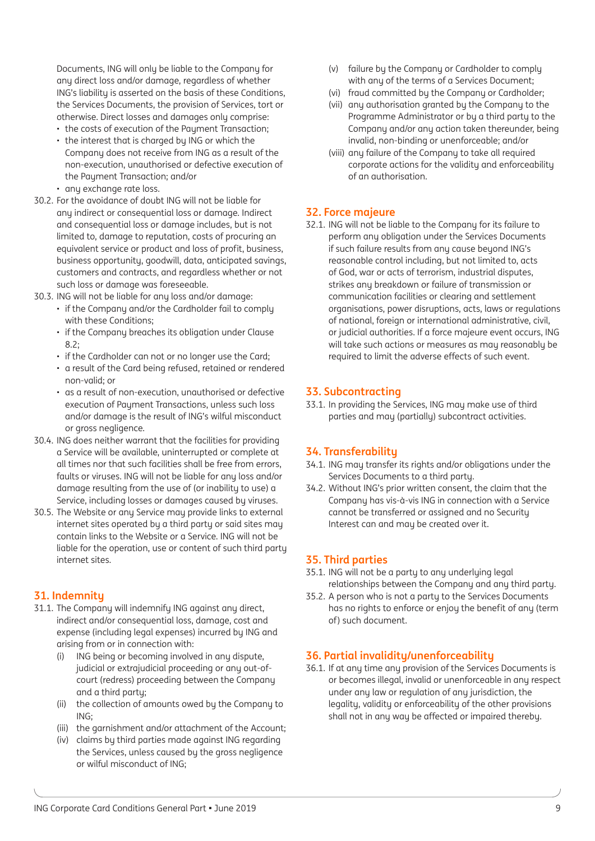Documents, ING will only be liable to the Company for any direct loss and/or damage, regardless of whether ING's liability is asserted on the basis of these Conditions, the Services Documents, the provision of Services, tort or otherwise. Direct losses and damages only comprise:

- the costs of execution of the Payment Transaction;
- the interest that is charged by ING or which the Company does not receive from ING as a result of the non-execution, unauthorised or defective execution of the Paument Transaction; and/or
- any exchange rate loss.
- 30.2. For the avoidance of doubt ING will not be liable for any indirect or consequential loss or damage. Indirect and consequential loss or damage includes, but is not limited to, damage to reputation, costs of procuring an equivalent service or product and loss of profit, business, business opportunity, goodwill, data, anticipated savings, customers and contracts, and regardless whether or not such loss or damage was foreseeable.
- 30.3. ING will not be liable for any loss and/or damage:
	- if the Company and/or the Cardholder fail to comply with these Conditions;
	- if the Company breaches its obligation under Clause 8.2;
	- if the Cardholder can not or no longer use the Card;
	- a result of the Card being refused, retained or rendered non-valid; or
	- as a result of non-execution, unauthorised or defective execution of Payment Transactions, unless such loss and/or damage is the result of ING's wilful misconduct or gross negligence.
- 30.4. ING does neither warrant that the facilities for providing a Service will be available, uninterrupted or complete at all times nor that such facilities shall be free from errors, faults or viruses. ING will not be liable for any loss and/or damage resulting from the use of (or inability to use) a Service, including losses or damages caused by viruses.
- 30.5. The Website or any Service may provide links to external internet sites operated by a third party or said sites may contain links to the Website or a Service. ING will not be liable for the operation, use or content of such third party internet sites.

# **31. Indemnity**

- 31.1. The Company will indemnify ING against any direct, indirect and/or consequential loss, damage, cost and expense (including legal expenses) incurred by ING and arising from or in connection with:
	- (i) ING being or becoming involved in any dispute, judicial or extrajudicial proceeding or any out-ofcourt (redress) proceeding between the Company and a third party;
	- (ii) the collection of amounts owed by the Company to ING;
	- (iii) the garnishment and/or attachment of the Account;
	- (iv) claims by third parties made against ING regarding the Services, unless caused by the gross negligence or wilful misconduct of ING;
- (v) failure by the Company or Cardholder to comply with any of the terms of a Services Document;
- (vi) fraud committed by the Company or Cardholder;
- (vii) any authorisation granted by the Company to the Programme Administrator or by a third party to the Company and/or any action taken thereunder, being invalid, non-binding or unenforceable; and/or
- (viii) any failure of the Company to take all required corporate actions for the validity and enforceability of an authorisation.

## **32. Force majeure**

32.1. ING will not be liable to the Company for its failure to perform any obligation under the Services Documents if such failure results from any cause beyond ING's reasonable control including, but not limited to, acts of God, war or acts of terrorism, industrial disputes, strikes any breakdown or failure of transmission or communication facilities or clearing and settlement organisations, power disruptions, acts, laws or regulations of national, foreign or international administrative, civil, or judicial authorities. If a force majeure event occurs, ING will take such actions or measures as may reasonably be required to limit the adverse effects of such event.

## **33. Subcontracting**

33.1. In providing the Services, ING may make use of third parties and may (partially) subcontract activities.

# **34. Transferability**

- 34.1. ING may transfer its rights and/or obligations under the Services Documents to a third party.
- 34.2. Without ING's prior written consent, the claim that the Company has vis-à-vis ING in connection with a Service cannot be transferred or assigned and no Security Interest can and may be created over it.

## **35. Third parties**

- 35.1. ING will not be a party to any underlying legal relationships between the Company and any third party.
- 35.2. A person who is not a party to the Services Documents has no rights to enforce or enjoy the benefit of any (term of) such document.

# **36. Partial invalidity/unenforceability**

36.1. If at any time any provision of the Services Documents is or becomes illegal, invalid or unenforceable in any respect under any law or regulation of any jurisdiction, the legality, validity or enforceability of the other provisions shall not in any way be affected or impaired thereby.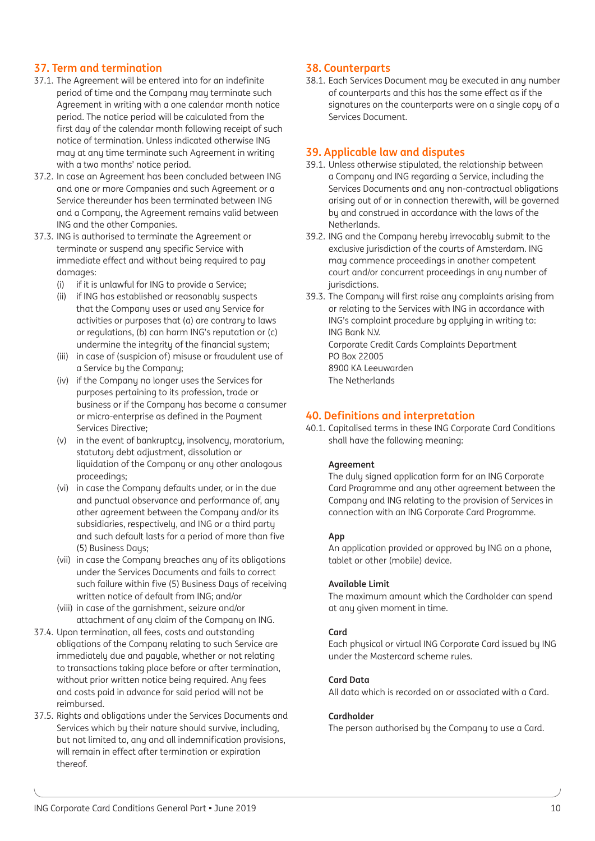# **37. Term and termination**

- 37.1. The Agreement will be entered into for an indefinite period of time and the Company may terminate such Agreement in writing with a one calendar month notice period. The notice period will be calculated from the first day of the calendar month following receipt of such notice of termination. Unless indicated otherwise ING may at any time terminate such Agreement in writing with a two months' notice period.
- 37.2. In case an Agreement has been concluded between ING and one or more Companies and such Agreement or a Service thereunder has been terminated between ING and a Company, the Agreement remains valid between ING and the other Companies.
- 37.3. ING is authorised to terminate the Agreement or terminate or suspend any specific Service with immediate effect and without being required to pay damages:
	- (i) if it is unlawful for ING to provide a Service;
	- (ii) if ING has established or reasonably suspects that the Company uses or used any Service for activities or purposes that (a) are contrary to laws or regulations, (b) can harm ING's reputation or (c) undermine the integrity of the financial system;
	- (iii) in case of (suspicion of) misuse or fraudulent use of a Service by the Company;
	- (iv) if the Company no longer uses the Services for purposes pertaining to its profession, trade or business or if the Company has become a consumer or micro-enterprise as defined in the Paument Services Directive;
	- (v) in the event of bankruptcy, insolvency, moratorium, statutory debt adjustment, dissolution or liquidation of the Company or any other analogous proceedings;
	- (vi) in case the Company defaults under, or in the due and punctual observance and performance of, any other agreement between the Company and/or its subsidiaries, respectively, and ING or a third party and such default lasts for a period of more than five (5) Business Days;
	- (vii) in case the Company breaches any of its obligations under the Services Documents and fails to correct such failure within five (5) Business Days of receiving written notice of default from ING; and/or
	- (viii) in case of the garnishment, seizure and/or attachment of any claim of the Company on ING.
- 37.4. Upon termination, all fees, costs and outstanding obligations of the Company relating to such Service are immediately due and payable, whether or not relating to transactions taking place before or after termination, without prior written notice being required. Any fees and costs paid in advance for said period will not be reimbursed.
- 37.5. Rights and obligations under the Services Documents and Services which by their nature should survive, including, but not limited to, any and all indemnification provisions, will remain in effect after termination or expiration thereof.

## **38. Counterparts**

38.1. Each Services Document may be executed in any number of counterparts and this has the same effect as if the signatures on the counterparts were on a single copy of a Services Document.

## **39. Applicable law and disputes**

- 39.1. Unless otherwise stipulated, the relationship between a Company and ING regarding a Service, including the Services Documents and any non-contractual obligations arising out of or in connection therewith, will be governed by and construed in accordance with the laws of the Netherlands.
- 39.2. ING and the Company hereby irrevocably submit to the exclusive jurisdiction of the courts of Amsterdam. ING may commence proceedings in another competent court and/or concurrent proceedings in any number of jurisdictions.
- 39.3. The Company will first raise any complaints arising from or relating to the Services with ING in accordance with ING's complaint procedure by applying in writing to: ING Bank N.V. Corporate Credit Cards Complaints Department PO Box 22005 8900 KA Leeuwarden The Netherlands

## **40. Definitions and interpretation**

40.1. Capitalised terms in these ING Corporate Card Conditions shall have the following meaning:

#### **Agreement**

The duly signed application form for an ING Corporate Card Programme and any other agreement between the Company and ING relating to the provision of Services in connection with an ING Corporate Card Programme.

#### **App**

An application provided or approved by ING on a phone, tablet or other (mobile) device.

#### **Available Limit**

The maximum amount which the Cardholder can spend at any given moment in time.

#### **Card**

Each physical or virtual ING Corporate Card issued by ING under the Mastercard scheme rules.

#### **Card Data**

All data which is recorded on or associated with a Card.

#### **Cardholder**

The person authorised by the Company to use a Card.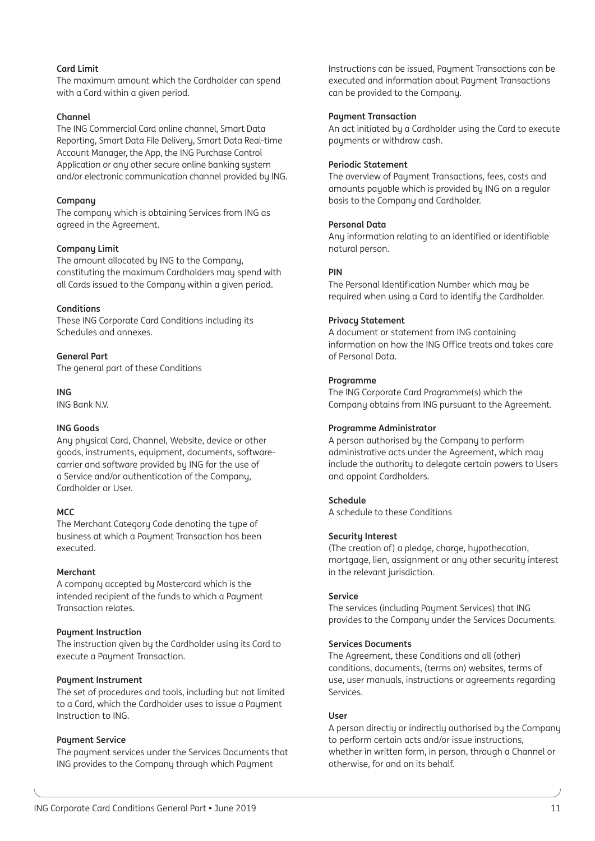#### **Card Limit**

The maximum amount which the Cardholder can spend with a Card within a given period.

#### **Channel**

The ING Commercial Card online channel, Smart Data Reporting, Smart Data File Delivery, Smart Data Real-time Account Manager, the App, the ING Purchase Control Application or any other secure online banking system and/or electronic communication channel provided by ING.

#### **Company**

The company which is obtaining Services from ING as agreed in the Agreement.

#### **Company Limit**

The amount allocated by ING to the Company, constituting the maximum Cardholders may spend with all Cards issued to the Company within a given period.

#### **Conditions**

These ING Corporate Card Conditions including its Schedules and annexes.

#### **General Part**

The general part of these Conditions

**ING**

ING Bank N.V.

#### **ING Goods**

Any physical Card, Channel, Website, device or other goods, instruments, equipment, documents, softwarecarrier and software provided by ING for the use of a Service and/or authentication of the Company, Cardholder or User.

#### **MCC**

The Merchant Category Code denoting the type of business at which a Payment Transaction has been executed.

#### **Merchant**

A company accepted by Mastercard which is the intended recipient of the funds to which a Payment Transaction relates.

#### **Payment Instruction**

The instruction given by the Cardholder using its Card to execute a Paument Transaction.

#### **Payment Instrument**

The set of procedures and tools, including but not limited to a Card, which the Cardholder uses to issue a Payment Instruction to ING.

#### **Paument Service**

The payment services under the Services Documents that ING provides to the Company through which Payment

Instructions can be issued, Payment Transactions can be executed and information about Payment Transactions can be provided to the Company.

#### **Payment Transaction**

An act initiated by a Cardholder using the Card to execute payments or withdraw cash.

#### **Periodic Statement**

The overview of Payment Transactions, fees, costs and amounts payable which is provided by ING on a regular basis to the Company and Cardholder.

#### **Personal Data**

Any information relating to an identified or identifiable natural person.

#### **PIN**

The Personal Identification Number which may be required when using a Card to identify the Cardholder.

#### **Privacy Statement**

A document or statement from ING containing information on how the ING Office treats and takes care of Personal Data.

#### **Programme**

The ING Corporate Card Programme(s) which the Company obtains from ING pursuant to the Agreement.

#### **Programme Administrator**

A person authorised by the Company to perform administrative acts under the Agreement, which may include the authority to delegate certain powers to Users and appoint Cardholders.

#### **Schedule**

A schedule to these Conditions

#### **Security Interest**

(The creation of) a pledge, charge, hypothecation, mortgage, lien, assignment or any other security interest in the relevant jurisdiction.

#### **Service**

The services (including Payment Services) that ING provides to the Company under the Services Documents.

#### **Services Documents**

The Agreement, these Conditions and all (other) conditions, documents, (terms on) websites, terms of use, user manuals, instructions or agreements regarding Services.

#### **User**

A person directly or indirectly authorised by the Company to perform certain acts and/or issue instructions, whether in written form, in person, through a Channel or otherwise, for and on its behalf.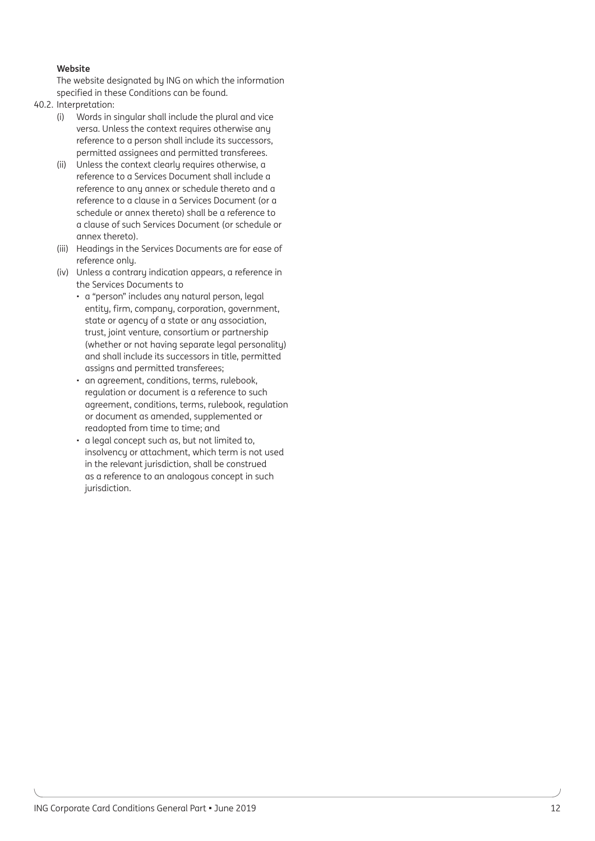#### **Website**

The website designated by ING on which the information specified in these Conditions can be found.

- 40.2. Interpretation:
	- (i) Words in singular shall include the plural and vice versa. Unless the context requires otherwise any reference to a person shall include its successors, permitted assignees and permitted transferees.
	- (ii) Unless the context clearly requires otherwise, a reference to a Services Document shall include a reference to any annex or schedule thereto and a reference to a clause in a Services Document (or a schedule or annex thereto) shall be a reference to a clause of such Services Document (or schedule or annex thereto).
	- (iii) Headings in the Services Documents are for ease of reference only.
	- (iv) Unless a contrary indication appears, a reference in the Services Documents to
		- a "person" includes any natural person, legal entity, firm, company, corporation, government, state or agency of a state or any association, trust, joint venture, consortium or partnership (whether or not having separate legal personality) and shall include its successors in title, permitted assigns and permitted transferees;
		- an agreement, conditions, terms, rulebook, regulation or document is a reference to such agreement, conditions, terms, rulebook, regulation or document as amended, supplemented or readopted from time to time; and
		- a legal concept such as, but not limited to, insolvency or attachment, which term is not used in the relevant jurisdiction, shall be construed as a reference to an analogous concept in such jurisdiction.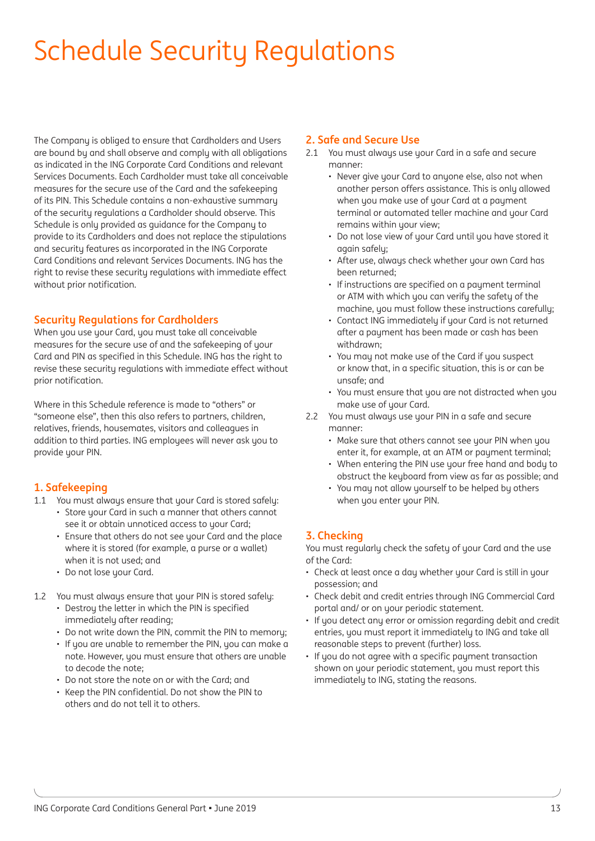# Schedule Security Regulations

The Company is obliged to ensure that Cardholders and Users are bound by and shall observe and comply with all obligations as indicated in the ING Corporate Card Conditions and relevant Services Documents. Each Cardholder must take all conceivable measures for the secure use of the Card and the safekeeping of its PIN. This Schedule contains a non-exhaustive summary of the security regulations a Cardholder should observe. This Schedule is only provided as guidance for the Company to provide to its Cardholders and does not replace the stipulations and security features as incorporated in the ING Corporate Card Conditions and relevant Services Documents. ING has the right to revise these security regulations with immediate effect without prior notification.

## **Security Regulations for Cardholders**

When you use your Card, you must take all conceivable measures for the secure use of and the safekeeping of your Card and PIN as specified in this Schedule. ING has the right to revise these security regulations with immediate effect without prior notification.

Where in this Schedule reference is made to "others" or "someone else", then this also refers to partners, children, relatives, friends, housemates, visitors and colleagues in addition to third parties. ING employees will never ask you to provide your PIN.

## **1. Safekeeping**

- 1.1 You must always ensure that your Card is stored safely:
	- Store your Card in such a manner that others cannot see it or obtain unnoticed access to your Card;
	- Ensure that others do not see your Card and the place where it is stored (for example, a purse or a wallet) when it is not used; and
	- Do not lose your Card.
- 1.2 You must always ensure that your PIN is stored safely:
	- Destroy the letter in which the PIN is specified immediately after reading;
	- Do not write down the PIN, commit the PIN to memory;
	- If you are unable to remember the PIN, you can make a note. However, you must ensure that others are unable to decode the note;
	- Do not store the note on or with the Card; and
	- Keep the PIN confidential. Do not show the PIN to others and do not tell it to others.

#### **2. Safe and Secure Use**

- 2.1 You must always use your Card in a safe and secure manner:
	- Never give your Card to anyone else, also not when another person offers assistance. This is only allowed when you make use of your Card at a payment terminal or automated teller machine and your Card remains within your view:
	- Do not lose view of your Card until you have stored it again safely;
	- After use, always check whether your own Card has been returned;
	- If instructions are specified on a payment terminal or ATM with which you can verify the safety of the machine, you must follow these instructions carefully;
	- Contact ING immediately if your Card is not returned after a payment has been made or cash has been withdrawn;
	- You may not make use of the Card if you suspect or know that, in a specific situation, this is or can be unsafe; and
	- You must ensure that you are not distracted when you make use of your Card.
- 2.2 You must always use your PIN in a safe and secure manner:
	- Make sure that others cannot see your PIN when you enter it, for example, at an ATM or payment terminal;
	- When entering the PIN use your free hand and body to obstruct the keyboard from view as far as possible; and
	- You may not allow yourself to be helped by others when you enter your PIN.

# **3. Checking**

You must regularly check the safety of your Card and the use of the Card:

- Check at least once a day whether your Card is still in your possession; and
- Check debit and credit entries through ING Commercial Card portal and/ or on your periodic statement.
- If you detect any error or omission regarding debit and credit entries, you must report it immediately to ING and take all reasonable steps to prevent (further) loss.
- If you do not agree with a specific payment transaction shown on your periodic statement, you must report this immediately to ING, stating the reasons.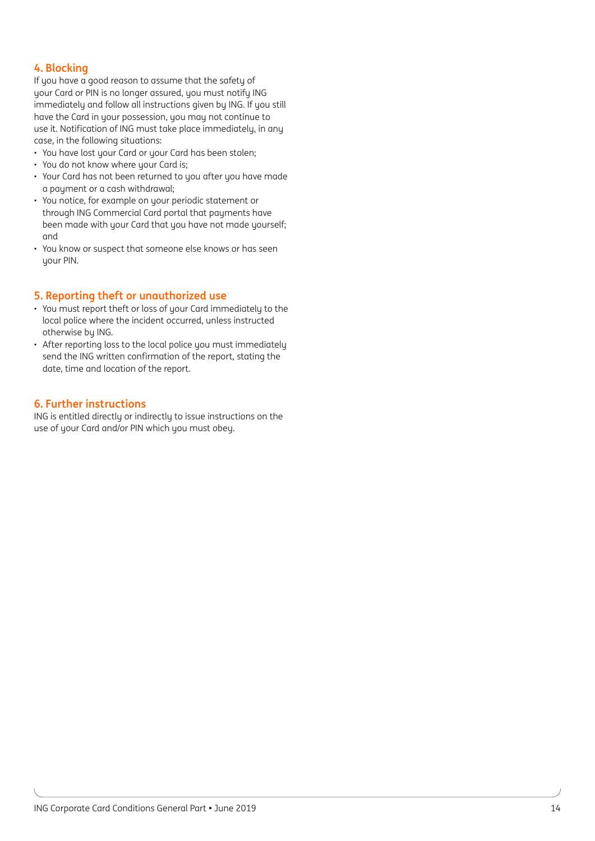# **4. Blocking**

If you have a good reason to assume that the safety of your Card or PIN is no longer assured, you must notify ING immediately and follow all instructions given by ING. If you still have the Card in your possession, you may not continue to use it. Notification of ING must take place immediately, in any case, in the following situations:

- You have lost your Card or your Card has been stolen;
- You do not know where your Card is;
- Your Card has not been returned to you after you have made a payment or a cash withdrawal;
- You notice, for example on your periodic statement or through ING Commercial Card portal that payments have been made with your Card that you have not made yourself; and
- You know or suspect that someone else knows or has seen uour PIN.

## **5. Reporting theft or unauthorized use**

- You must report theft or loss of your Card immediately to the local police where the incident occurred, unless instructed otherwise by ING.
- After reporting loss to the local police you must immediately send the ING written confirmation of the report, stating the date, time and location of the report.

## **6. Further instructions**

ING is entitled directly or indirectly to issue instructions on the use of your Card and/or PIN which you must obey.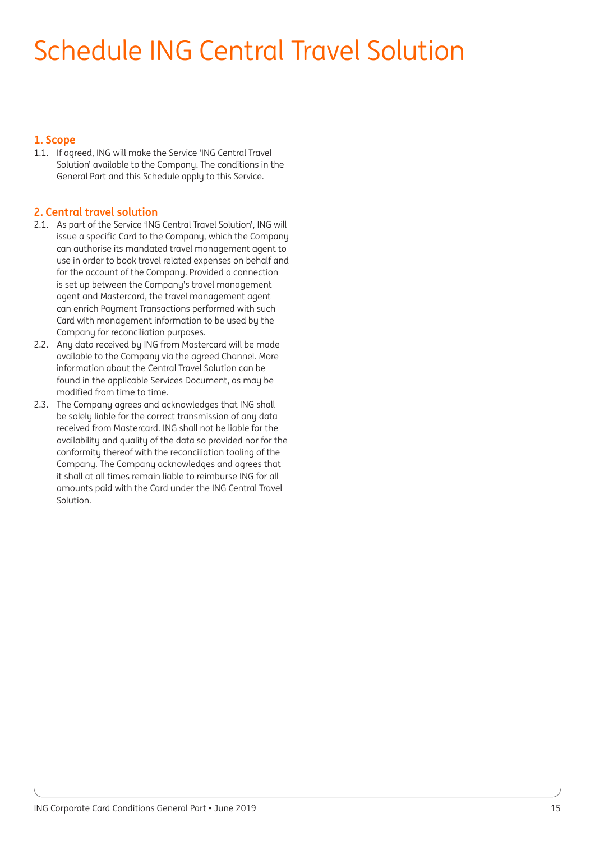# Schedule ING Central Travel Solution

## **1. Scope**

1.1. If agreed, ING will make the Service 'ING Central Travel Solution' available to the Company. The conditions in the General Part and this Schedule apply to this Service.

## **2. Central travel solution**

- 2.1. As part of the Service 'ING Central Travel Solution', ING will issue a specific Card to the Company, which the Company can authorise its mandated travel management agent to use in order to book travel related expenses on behalf and for the account of the Company. Provided a connection is set up between the Company's travel management agent and Mastercard, the travel management agent can enrich Payment Transactions performed with such Card with management information to be used by the Company for reconciliation purposes.
- 2.2. Any data received by ING from Mastercard will be made available to the Company via the agreed Channel. More information about the Central Travel Solution can be found in the applicable Services Document, as may be modified from time to time.
- 2.3. The Company agrees and acknowledges that ING shall be solely liable for the correct transmission of any data received from Mastercard. ING shall not be liable for the availability and quality of the data so provided nor for the conformity thereof with the reconciliation tooling of the Company. The Company acknowledges and agrees that it shall at all times remain liable to reimburse ING for all amounts paid with the Card under the ING Central Travel Solution.